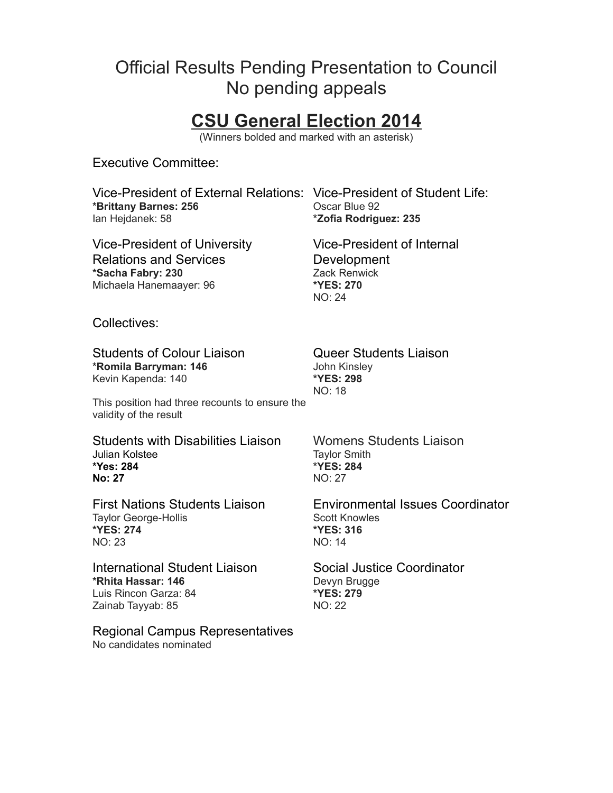# Official Results Pending Presentation to Council No pending appeals

# **CSU General Election 2014**

(Winners bolded and marked with an asterisk)

Executive Committee:

Vice-President of External Relations: Vice-President of Student Life: **\*Brittany Barnes: 256** Oscar Blue 92 Ian Hejdanek: 58 **\*Zofia Rodriguez: 235**

Vice-President of University Relations and Services **\*Sacha Fabry: 230** Michaela Hanemaayer: 96

Vice-President of Internal Development Zack Renwick **\*YES: 270** NO: 24

Collectives:

Students of Colour Liaison Queer Students Liaison **\*Romila Barryman: 146** Kevin Kapenda: 140

This position had three recounts to ensure the validity of the result

Students with Disabilities Liaison Womens Students Liaison Julian Kolstee **\*Yes: 284 No: 27**

Taylor George-Hollis **\*YES: 274** NO: 23

International Student Liaison Social Justice Coordinator **\*Rhita Hassar: 146** Luis Rincon Garza: 84 Zainab Tayyab: 85

Regional Campus Representatives No candidates nominated

John Kinsley **\*YES: 298** NO: 18

Taylor Smith **\*YES: 284** NO: 27

First Nations Students Liaison Environmental Issues Coordinator Scott Knowles **\*YES: 316** NO: 14

> Devyn Brugge **\*YES: 279** NO: 22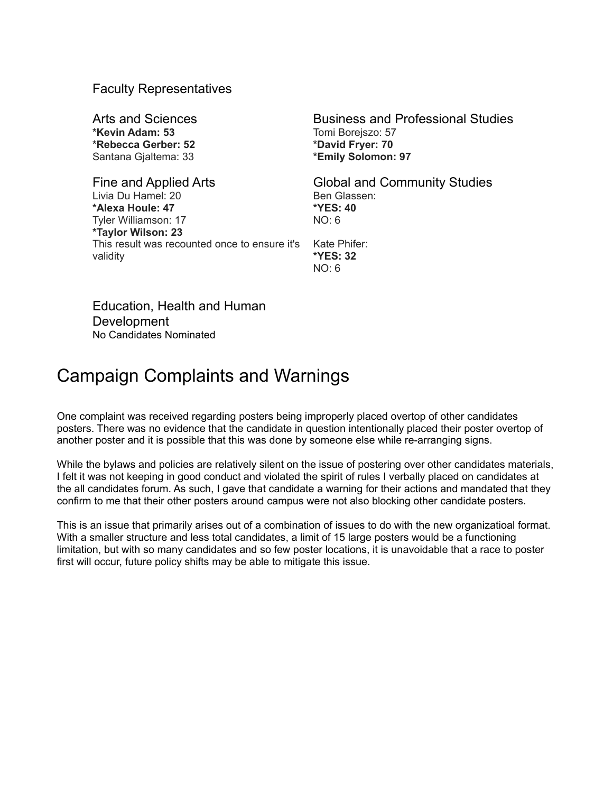#### Faculty Representatives

Arts and Sciences **Business and Professional Studies \*Kevin Adam: 53 \*Rebecca Gerber: 52** Santana Gjaltema: 33 Fine and Applied Arts **Global and Community Studies** Livia Du Hamel: 20 **\*Alexa Houle: 47** Tyler Williamson: 17 **\*Taylor Wilson: 23** This result was recounted once to ensure it's

Tomi Borejszo: 57 **\*David Fryer: 70 \*Emily Solomon: 97**

Ben Glassen: **\*YES: 40** NO: 6 Kate Phifer:

**\*YES: 32**  $NO: 6$ 

Education, Health and Human Development No Candidates Nominated

validity

# Campaign Complaints and Warnings

One complaint was received regarding posters being improperly placed overtop of other candidates posters. There was no evidence that the candidate in question intentionally placed their poster overtop of another poster and it is possible that this was done by someone else while re-arranging signs.

While the bylaws and policies are relatively silent on the issue of postering over other candidates materials, I felt it was not keeping in good conduct and violated the spirit of rules I verbally placed on candidates at the all candidates forum. As such, I gave that candidate a warning for their actions and mandated that they confirm to me that their other posters around campus were not also blocking other candidate posters.

This is an issue that primarily arises out of a combination of issues to do with the new organizatioal format. With a smaller structure and less total candidates, a limit of 15 large posters would be a functioning limitation, but with so many candidates and so few poster locations, it is unavoidable that a race to poster first will occur, future policy shifts may be able to mitigate this issue.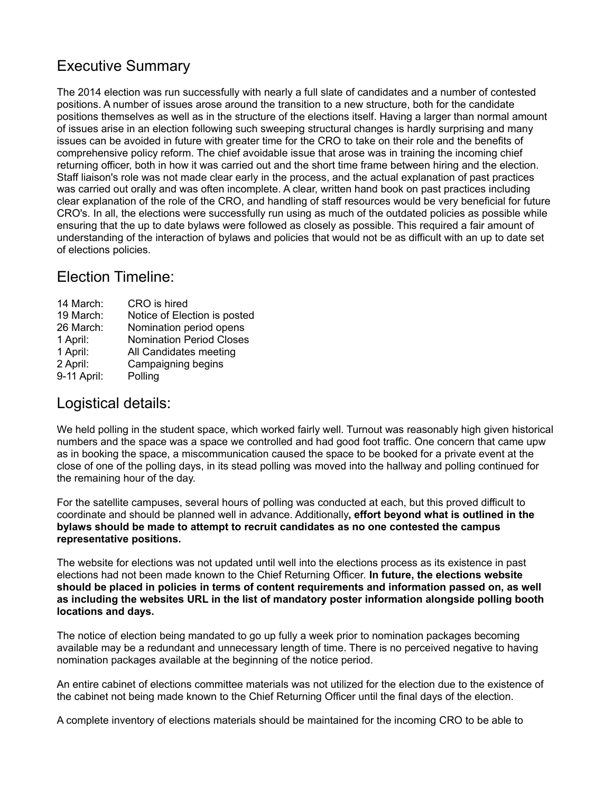### Executive Summary

The 2014 election was run successfully with nearly a full slate of candidates and a number of contested positions. A number of issues arose around the transition to a new structure, both for the candidate positions themselves as well as in the structure of the elections itself. Having a larger than normal amount of issues arise in an election following such sweeping structural changes is hardly surprising and many issues can be avoided in future with greater time for the CRO to take on their role and the benefits of comprehensive policy reform. The chief avoidable issue that arose was in training the incoming chief returning officer, both in how it was carried out and the short time frame between hiring and the election. Staff liaison's role was not made clear early in the process, and the actual explanation of past practices was carried out orally and was often incomplete. A clear, written hand book on past practices including clear explanation of the role of the CRO, and handling of staff resources would be very beneficial for future CRO's. In all, the elections were successfully run using as much of the outdated policies as possible while ensuring that the up to date bylaws were followed as closely as possible. This required a fair amount of understanding of the interaction of bylaws and policies that would not be as difficult with an up to date set of elections policies.

#### Election Timeline:

| CRO is hired                    |
|---------------------------------|
| Notice of Election is posted    |
| Nomination period opens         |
| <b>Nomination Period Closes</b> |
| All Candidates meeting          |
| Campaigning begins              |
| Polling                         |
|                                 |

#### Logistical details:

We held polling in the student space, which worked fairly well. Turnout was reasonably high given historical numbers and the space was a space we controlled and had good foot traffic. One concern that came upw as in booking the space, a miscommunication caused the space to be booked for a private event at the close of one of the polling days, in its stead polling was moved into the hallway and polling continued for the remaining hour of the day.

For the satellite campuses, several hours of polling was conducted at each, but this proved difficult to coordinate and should be planned well in advance. Additionally**, effort beyond what is outlined in the bylaws should be made to attempt to recruit candidates as no one contested the campus representative positions.**

The website for elections was not updated until well into the elections process as its existence in past elections had not been made known to the Chief Returning Officer. **In future, the elections website should be placed in policies in terms of content requirements and information passed on, as well as including the websites URL in the list of mandatory poster information alongside polling booth locations and days.**

The notice of election being mandated to go up fully a week prior to nomination packages becoming available may be a redundant and unnecessary length of time. There is no perceived negative to having nomination packages available at the beginning of the notice period.

An entire cabinet of elections committee materials was not utilized for the election due to the existence of the cabinet not being made known to the Chief Returning Officer until the final days of the election.

A complete inventory of elections materials should be maintained for the incoming CRO to be able to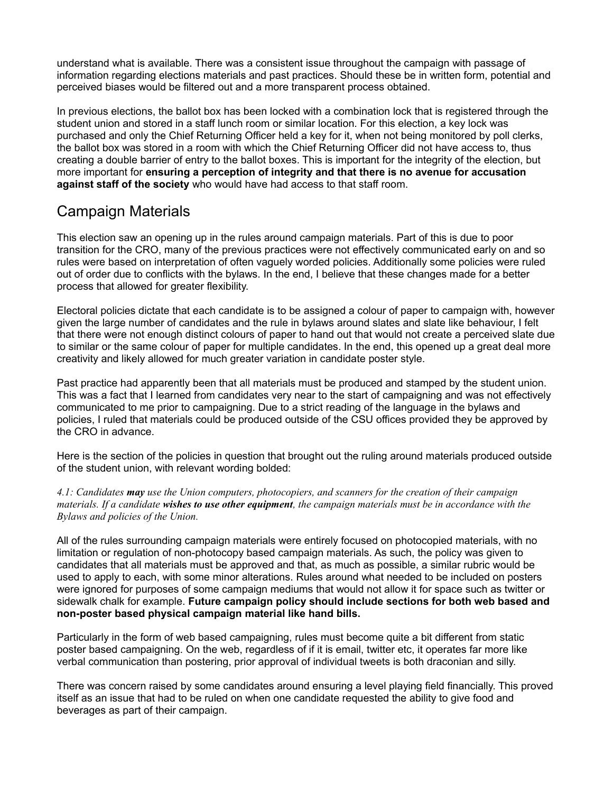understand what is available. There was a consistent issue throughout the campaign with passage of information regarding elections materials and past practices. Should these be in written form, potential and perceived biases would be filtered out and a more transparent process obtained.

In previous elections, the ballot box has been locked with a combination lock that is registered through the student union and stored in a staff lunch room or similar location. For this election, a key lock was purchased and only the Chief Returning Officer held a key for it, when not being monitored by poll clerks, the ballot box was stored in a room with which the Chief Returning Officer did not have access to, thus creating a double barrier of entry to the ballot boxes. This is important for the integrity of the election, but more important for **ensuring a perception of integrity and that there is no avenue for accusation against staff of the society** who would have had access to that staff room.

#### Campaign Materials

This election saw an opening up in the rules around campaign materials. Part of this is due to poor transition for the CRO, many of the previous practices were not effectively communicated early on and so rules were based on interpretation of often vaguely worded policies. Additionally some policies were ruled out of order due to conflicts with the bylaws. In the end, I believe that these changes made for a better process that allowed for greater flexibility.

Electoral policies dictate that each candidate is to be assigned a colour of paper to campaign with, however given the large number of candidates and the rule in bylaws around slates and slate like behaviour, I felt that there were not enough distinct colours of paper to hand out that would not create a perceived slate due to similar or the same colour of paper for multiple candidates. In the end, this opened up a great deal more creativity and likely allowed for much greater variation in candidate poster style.

Past practice had apparently been that all materials must be produced and stamped by the student union. This was a fact that I learned from candidates very near to the start of campaigning and was not effectively communicated to me prior to campaigning. Due to a strict reading of the language in the bylaws and policies, I ruled that materials could be produced outside of the CSU offices provided they be approved by the CRO in advance.

Here is the section of the policies in question that brought out the ruling around materials produced outside of the student union, with relevant wording bolded:

*4.1: Candidates may use the Union computers, photocopiers, and scanners for the creation of their campaign materials. If a candidate wishes to use other equipment, the campaign materials must be in accordance with the Bylaws and policies of the Union.*

All of the rules surrounding campaign materials were entirely focused on photocopied materials, with no limitation or regulation of non-photocopy based campaign materials. As such, the policy was given to candidates that all materials must be approved and that, as much as possible, a similar rubric would be used to apply to each, with some minor alterations. Rules around what needed to be included on posters were ignored for purposes of some campaign mediums that would not allow it for space such as twitter or sidewalk chalk for example. **Future campaign policy should include sections for both web based and non-poster based physical campaign material like hand bills.**

Particularly in the form of web based campaigning, rules must become quite a bit different from static poster based campaigning. On the web, regardless of if it is email, twitter etc, it operates far more like verbal communication than postering, prior approval of individual tweets is both draconian and silly.

There was concern raised by some candidates around ensuring a level playing field financially. This proved itself as an issue that had to be ruled on when one candidate requested the ability to give food and beverages as part of their campaign.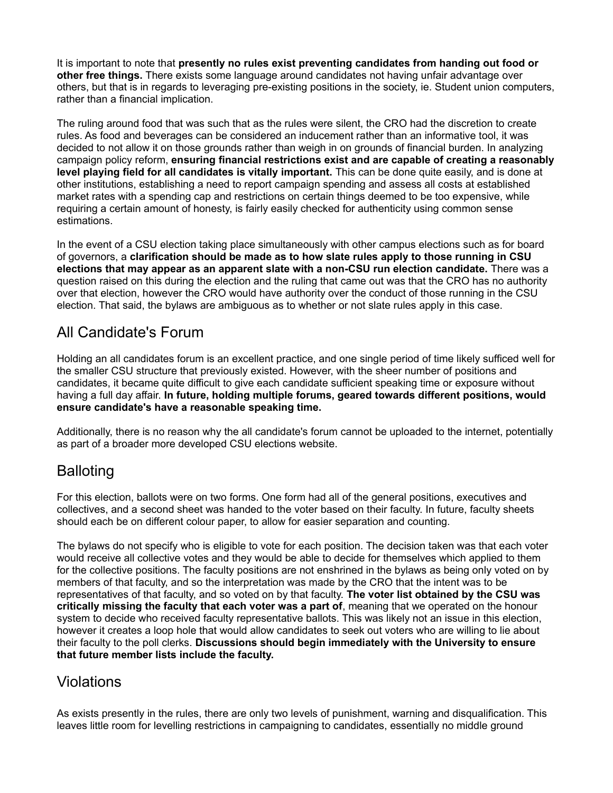It is important to note that **presently no rules exist preventing candidates from handing out food or other free things.** There exists some language around candidates not having unfair advantage over others, but that is in regards to leveraging pre-existing positions in the society, ie. Student union computers, rather than a financial implication.

The ruling around food that was such that as the rules were silent, the CRO had the discretion to create rules. As food and beverages can be considered an inducement rather than an informative tool, it was decided to not allow it on those grounds rather than weigh in on grounds of financial burden. In analyzing campaign policy reform, **ensuring financial restrictions exist and are capable of creating a reasonably level playing field for all candidates is vitally important.** This can be done quite easily, and is done at other institutions, establishing a need to report campaign spending and assess all costs at established market rates with a spending cap and restrictions on certain things deemed to be too expensive, while requiring a certain amount of honesty, is fairly easily checked for authenticity using common sense estimations.

In the event of a CSU election taking place simultaneously with other campus elections such as for board of governors, a **clarification should be made as to how slate rules apply to those running in CSU elections that may appear as an apparent slate with a non-CSU run election candidate.** There was a question raised on this during the election and the ruling that came out was that the CRO has no authority over that election, however the CRO would have authority over the conduct of those running in the CSU election. That said, the bylaws are ambiguous as to whether or not slate rules apply in this case.

#### All Candidate's Forum

Holding an all candidates forum is an excellent practice, and one single period of time likely sufficed well for the smaller CSU structure that previously existed. However, with the sheer number of positions and candidates, it became quite difficult to give each candidate sufficient speaking time or exposure without having a full day affair. **In future, holding multiple forums, geared towards different positions, would ensure candidate's have a reasonable speaking time.**

Additionally, there is no reason why the all candidate's forum cannot be uploaded to the internet, potentially as part of a broader more developed CSU elections website.

#### **Balloting**

For this election, ballots were on two forms. One form had all of the general positions, executives and collectives, and a second sheet was handed to the voter based on their faculty. In future, faculty sheets should each be on different colour paper, to allow for easier separation and counting.

The bylaws do not specify who is eligible to vote for each position. The decision taken was that each voter would receive all collective votes and they would be able to decide for themselves which applied to them for the collective positions. The faculty positions are not enshrined in the bylaws as being only voted on by members of that faculty, and so the interpretation was made by the CRO that the intent was to be representatives of that faculty, and so voted on by that faculty. **The voter list obtained by the CSU was critically missing the faculty that each voter was a part of**, meaning that we operated on the honour system to decide who received faculty representative ballots. This was likely not an issue in this election, however it creates a loop hole that would allow candidates to seek out voters who are willing to lie about their faculty to the poll clerks. **Discussions should begin immediately with the University to ensure that future member lists include the faculty.**

#### Violations

As exists presently in the rules, there are only two levels of punishment, warning and disqualification. This leaves little room for levelling restrictions in campaigning to candidates, essentially no middle ground